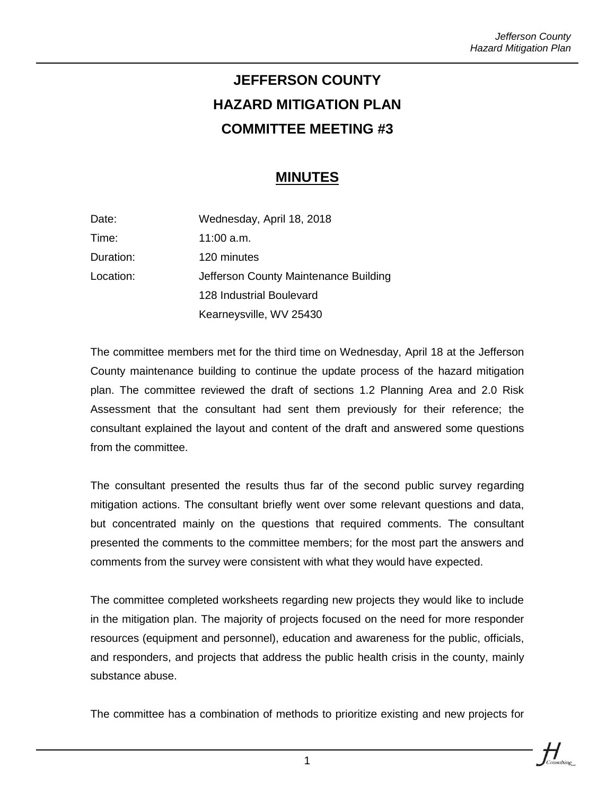## **JEFFERSON COUNTY HAZARD MITIGATION PLAN COMMITTEE MEETING #3**

## **MINUTES**

| Date:     | Wednesday, April 18, 2018             |
|-----------|---------------------------------------|
| Time:     | 11:00 a.m.                            |
| Duration: | 120 minutes                           |
| Location: | Jefferson County Maintenance Building |
|           | 128 Industrial Boulevard              |
|           | Kearneysville, WV 25430               |

The committee members met for the third time on Wednesday, April 18 at the Jefferson County maintenance building to continue the update process of the hazard mitigation plan. The committee reviewed the draft of sections 1.2 Planning Area and 2.0 Risk Assessment that the consultant had sent them previously for their reference; the consultant explained the layout and content of the draft and answered some questions from the committee.

The consultant presented the results thus far of the second public survey regarding mitigation actions. The consultant briefly went over some relevant questions and data, but concentrated mainly on the questions that required comments. The consultant presented the comments to the committee members; for the most part the answers and comments from the survey were consistent with what they would have expected.

The committee completed worksheets regarding new projects they would like to include in the mitigation plan. The majority of projects focused on the need for more responder resources (equipment and personnel), education and awareness for the public, officials, and responders, and projects that address the public health crisis in the county, mainly substance abuse.

The committee has a combination of methods to prioritize existing and new projects for



1